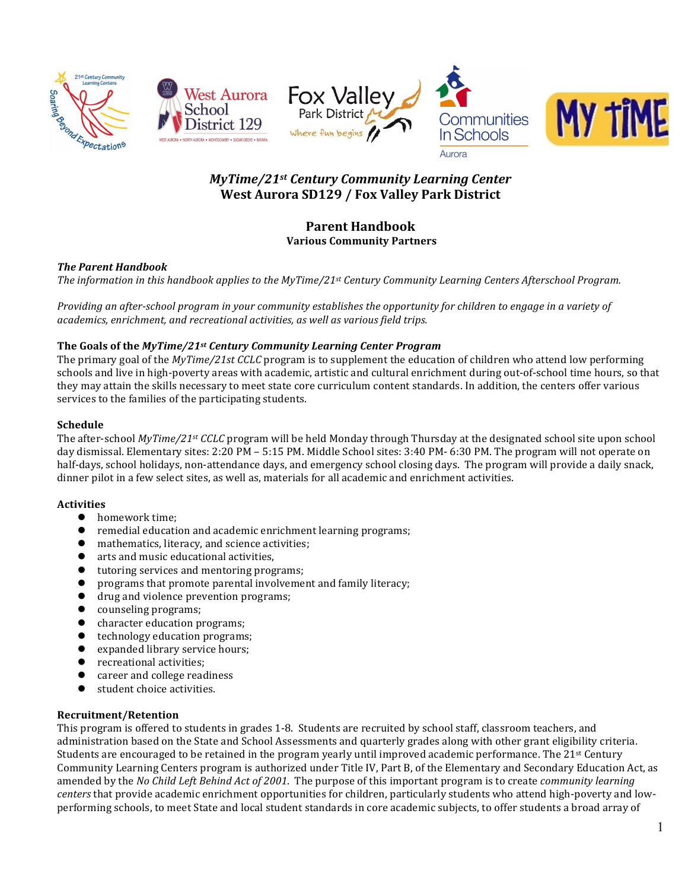









# *MyTime/21st Century Community Learning Center* West Aurora SD129 / Fox Valley Park District

# **Parent Handbook Various Community Partners**

# *The Parent Handbook*

*The information in this handbook applies to the MyTime/21st Century Community Learning Centers Afterschool Program.* 

*Providing an after-school program in your community establishes the opportunity for children to engage in a variety of academics, enrichment, and recreational activities, as well as various field trips.*

# The Goals of the *MyTime/21st Century Community Learning Center Program*

The primary goal of the *MyTime/21st CCLC* program is to supplement the education of children who attend low performing schools and live in high-poverty areas with academic, artistic and cultural enrichment during out-of-school time hours, so that they may attain the skills necessary to meet state core curriculum content standards. In addition, the centers offer various services to the families of the participating students.

# **Schedule**

The after-school *MyTime/21<sup>st</sup> CCLC* program will be held Monday through Thursday at the designated school site upon school day dismissal. Elementary sites: 2:20 PM – 5:15 PM. Middle School sites: 3:40 PM- 6:30 PM. The program will not operate on half-days, school holidays, non-attendance days, and emergency school closing days. The program will provide a daily snack, dinner pilot in a few select sites, as well as, materials for all academic and enrichment activities.

# **Activities**

- $\bullet$  homework time:
- remedial education and academic enrichment learning programs;
- mathematics, literacy, and science activities;
- arts and music educational activities,
- tutoring services and mentoring programs;
- programs that promote parental involvement and family literacy;
- drug and violence prevention programs;
- $\bullet$  counseling programs;
- character education programs;
- technology education programs;
- expanded library service hours;
- recreational activities;
- career and college readiness
- $\bullet$  student choice activities.

# **Recruitment/Retention**

This program is offered to students in grades 1-8. Students are recruited by school staff, classroom teachers, and administration based on the State and School Assessments and quarterly grades along with other grant eligibility criteria. Students are encouraged to be retained in the program yearly until improved academic performance. The  $21^{st}$  Century Community Learning Centers program is authorized under Title IV, Part B, of the Elementary and Secondary Education Act, as amended by the *No Child Left Behind Act of 2001*. The purpose of this important program is to create *community learning centers* that provide academic enrichment opportunities for children, particularly students who attend high-poverty and lowperforming schools, to meet State and local student standards in core academic subjects, to offer students a broad array of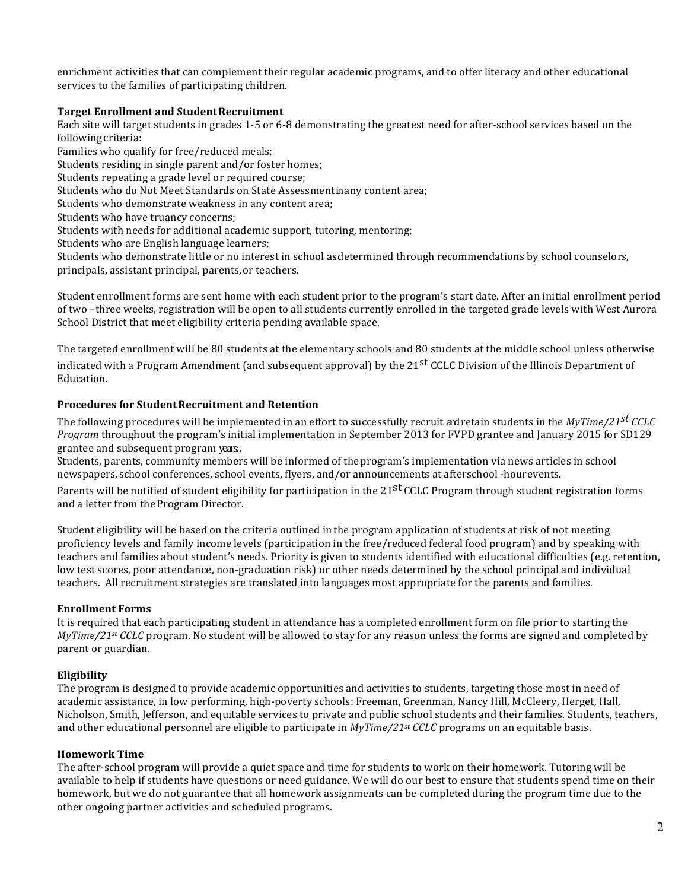enrichment activities that can complement their regular academic programs, and to offer literacy and other educational services to the families of participating children.

# **Target Enrollment and Student Recruitment**

Each site will target students in grades 1-5 or 6-8 demonstrating the greatest need for after-school services based on the following criteria:

Families who qualify for free/reduced meals;

Students residing in single parent and/or foster homes;

Students repeating a grade level or required course;

Students who do Not Meet Standards on State Assessment in any content area;

Students who demonstrate weakness in any content area;

Students who have truancy concerns;

Students with needs for additional academic support, tutoring, mentoring;

Students who are English language learners;

Students who demonstrate little or no interest in school asdetermined through recommendations by school counselors, principals, assistant principal, parents, or teachers.

Student enrollment forms are sent home with each student prior to the program's start date. After an initial enrollment period of two -three weeks, registration will be open to all students currently enrolled in the targeted grade levels with West Aurora School District that meet eligibility criteria pending available space.

The targeted enrollment will be 80 students at the elementary schools and 80 students at the middle school unless otherwise indicated with a Program Amendment (and subsequent approval) by the 21<sup>st</sup> CCLC Division of the Illinois Department of Education. 

# **Procedures for Student Recruitment and Retention**

The following procedures will be implemented in an effort to successfully recruit andretain students in the  $MvTime/21^{st}$   $CCLC$ *Program* throughout the program's initial implementation in September 2013 for FVPD grantee and January 2015 for SD129 grantee and subsequent program years.

Students, parents, community members will be informed of the program's implementation via news articles in school newspapers, school conferences, school events, flyers, and/or announcements at afterschool -hourevents.

Parents will be notified of student eligibility for participation in the 21<sup>st</sup> CCLC Program through student registration forms and a letter from the Program Director.

Student eligibility will be based on the criteria outlined in the program application of students at risk of not meeting proficiency levels and family income levels (participation in the free/reduced federal food program) and by speaking with teachers and families about student's needs. Priority is given to students identified with educational difficulties (e.g. retention, low test scores, poor attendance, non-graduation risk) or other needs determined by the school principal and individual teachers. All recruitment strategies are translated into languages most appropriate for the parents and families.

# **Enrollment Forms**

It is required that each participating student in attendance has a completed enrollment form on file prior to starting the  $MyTime/21$ <sup>st</sup> *CCLC* program. No student will be allowed to stay for any reason unless the forms are signed and completed by parent or guardian.

# **Eligibility**

The program is designed to provide academic opportunities and activities to students, targeting those most in need of academic assistance, in low performing, high-poverty schools: Freeman, Greenman, Nancy Hill, McCleery, Herget, Hall, Nicholson, Smith, Jefferson, and equitable services to private and public school students and their families. Students, teachers, and other educational personnel are eligible to participate in *MyTime/21st CCLC* programs on an equitable basis.

# **Homework Time**

The after-school program will provide a quiet space and time for students to work on their homework. Tutoring will be available to help if students have questions or need guidance. We will do our best to ensure that students spend time on their homework, but we do not guarantee that all homework assignments can be completed during the program time due to the other ongoing partner activities and scheduled programs.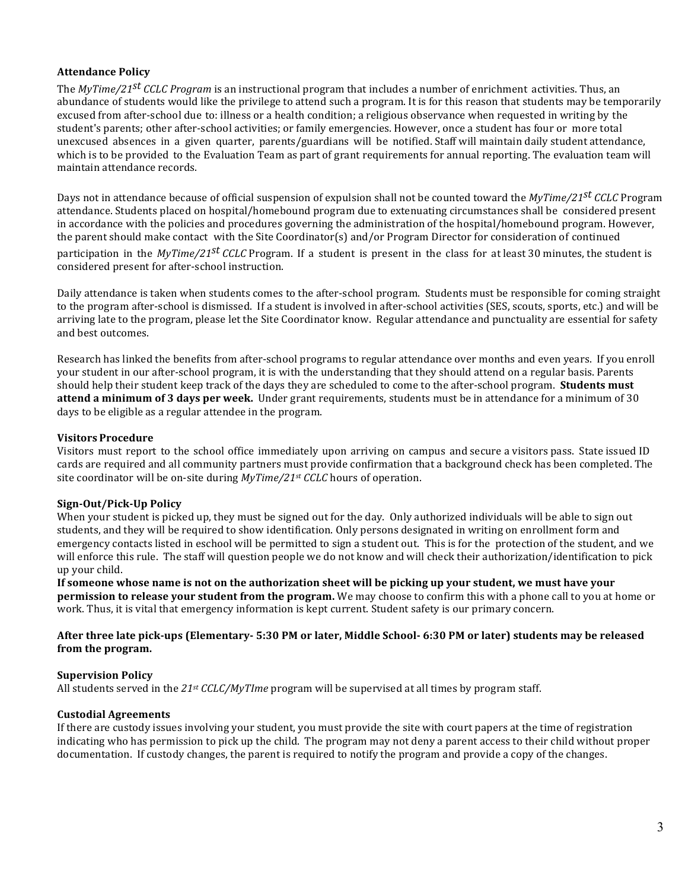# **Attendance Policy**

The *MyTime/21<sup>st</sup> CCLC Program* is an instructional program that includes a number of enrichment activities. Thus, an abundance of students would like the privilege to attend such a program. It is for this reason that students may be temporarily excused from after-school due to: illness or a health condition; a religious observance when requested in writing by the student's parents; other after-school activities; or family emergencies. However, once a student has four or more total unexcused absences in a given quarter, parents/guardians will be notified. Staff will maintain daily student attendance, which is to be provided to the Evaluation Team as part of grant requirements for annual reporting. The evaluation team will maintain attendance records.

Days not in attendance because of official suspension of expulsion shall not be counted toward the *MyTime/21<sup>st</sup> CCLC* Program attendance. Students placed on hospital/homebound program due to extenuating circumstances shall be considered present in accordance with the policies and procedures governing the administration of the hospital/homebound program. However, the parent should make contact with the Site Coordinator(s) and/or Program Director for consideration of continued participation in the *MyTime/21<sup>st</sup> CCLC* Program. If a student is present in the class for at least 30 minutes, the student is considered present for after-school instruction.

Daily attendance is taken when students comes to the after-school program. Students must be responsible for coming straight to the program after-school is dismissed. If a student is involved in after-school activities (SES, scouts, sports, etc.) and will be arriving late to the program, please let the Site Coordinator know. Regular attendance and punctuality are essential for safety and best outcomes.

Research has linked the benefits from after-school programs to regular attendance over months and even years. If you enroll your student in our after-school program, it is with the understanding that they should attend on a regular basis. Parents should help their student keep track of the days they are scheduled to come to the after-school program. **Students must attend a minimum of 3 days per week.** Under grant requirements, students must be in attendance for a minimum of 30 days to be eligible as a regular attendee in the program.

# **Visitors Procedure**

Visitors must report to the school office immediately upon arriving on campus and secure a visitors pass. State issued ID cards are required and all community partners must provide confirmation that a background check has been completed. The site coordinator will be on-site during *MyTime/21<sup>st</sup> CCLC* hours of operation.

# **Sign-Out/Pick-Up Policy**

When your student is picked up, they must be signed out for the day. Only authorized individuals will be able to sign out students, and they will be required to show identification. Only persons designated in writing on enrollment form and emergency contacts listed in eschool will be permitted to sign a student out. This is for the protection of the student, and we will enforce this rule. The staff will question people we do not know and will check their authorization/identification to pick up your child.

If someone whose name is not on the authorization sheet will be picking up your student, we must have your **permission to release vour student from the program.** We may choose to confirm this with a phone call to you at home or work. Thus, it is vital that emergency information is kept current. Student safety is our primary concern.

# After three late pick-ups (Elementary- 5:30 PM or later, Middle School- 6:30 PM or later) students may be released from the program.

# **Supervision Policy**

All students served in the  $21^{st}$  *CCLC/MyTIme* program will be supervised at all times by program staff.

# **Custodial Agreements**

If there are custody issues involving your student, you must provide the site with court papers at the time of registration indicating who has permission to pick up the child. The program may not deny a parent access to their child without proper documentation. If custody changes, the parent is required to notify the program and provide a copy of the changes.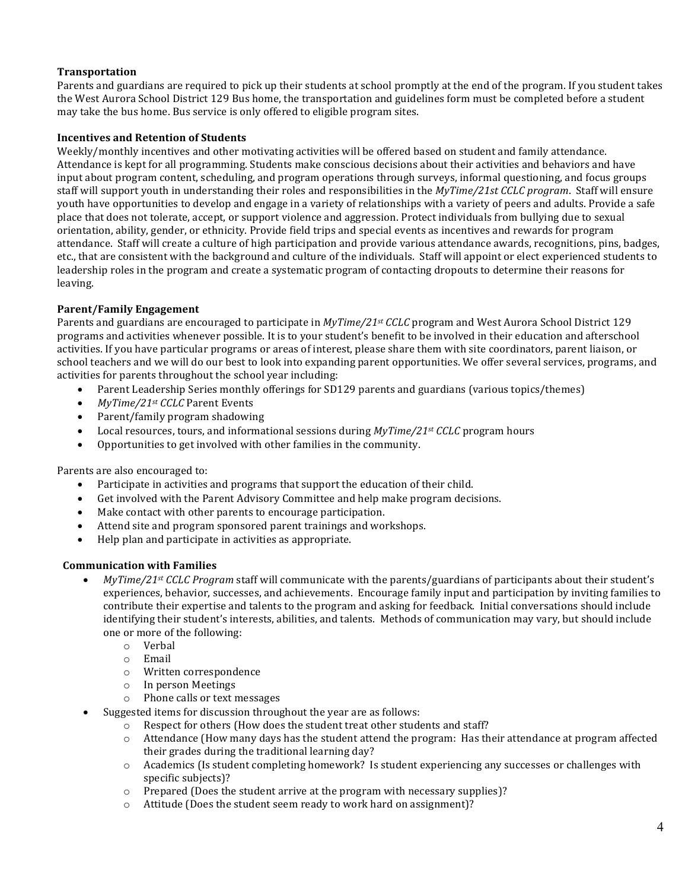# **Transportation**

Parents and guardians are required to pick up their students at school promptly at the end of the program. If you student takes the West Aurora School District 129 Bus home, the transportation and guidelines form must be completed before a student may take the bus home. Bus service is only offered to eligible program sites.

# **Incentives and Retention of Students**

Weekly/monthly incentives and other motivating activities will be offered based on student and family attendance. Attendance is kept for all programming. Students make conscious decisions about their activities and behaviors and have input about program content, scheduling, and program operations through surveys, informal questioning, and focus groups staff will support youth in understanding their roles and responsibilities in the *MyTime/21st CCLC program*. Staff will ensure youth have opportunities to develop and engage in a variety of relationships with a variety of peers and adults. Provide a safe place that does not tolerate, accept, or support violence and aggression. Protect individuals from bullying due to sexual orientation, ability, gender, or ethnicity. Provide field trips and special events as incentives and rewards for program attendance. Staff will create a culture of high participation and provide various attendance awards, recognitions, pins, badges, etc., that are consistent with the background and culture of the individuals. Staff will appoint or elect experienced students to leadership roles in the program and create a systematic program of contacting dropouts to determine their reasons for leaving.

# **Parent/Family Engagement**

Parents and guardians are encouraged to participate in  $MyTime/21^{st}$  *CCLC* program and West Aurora School District 129 programs and activities whenever possible. It is to your student's benefit to be involved in their education and afterschool activities. If you have particular programs or areas of interest, please share them with site coordinators, parent liaison, or school teachers and we will do our best to look into expanding parent opportunities. We offer several services, programs, and activities for parents throughout the school year including:

- Parent Leadership Series monthly offerings for SD129 parents and guardians (various topics/themes)
- *MyTime/21st CCLC* Parent Events
- Parent/family program shadowing
- Local resources, tours, and informational sessions during  $MyTime/21^{st}$  *CCLC* program hours
- Opportunities to get involved with other families in the community.

Parents are also encouraged to:

- Participate in activities and programs that support the education of their child.
- Get involved with the Parent Advisory Committee and help make program decisions.
- Make contact with other parents to encourage participation.
- Attend site and program sponsored parent trainings and workshops.
- Help plan and participate in activities as appropriate.

# **Communication with Families**

- *MyTime/21st CCLC Program* staff will communicate with the parents/guardians of participants about their student's experiences, behavior, successes, and achievements. Encourage family input and participation by inviting families to contribute their expertise and talents to the program and asking for feedback. Initial conversations should include identifying their student's interests, abilities, and talents. Methods of communication may vary, but should include one or more of the following:
	- o Verbal
	- o Email
	- o Written correspondence
	- o In person Meetings
	- o Phone calls or text messages
- Suggested items for discussion throughout the year are as follows:
	- o Respect for others (How does the student treat other students and staff?
	- $\circ$  Attendance (How many days has the student attend the program: Has their attendance at program affected their grades during the traditional learning day?
	- $\circ$  Academics (Is student completing homework? Is student experiencing any successes or challenges with specific subjects)?
	- $\circ$  Prepared (Does the student arrive at the program with necessary supplies)?
	- $\circ$  Attitude (Does the student seem ready to work hard on assignment)?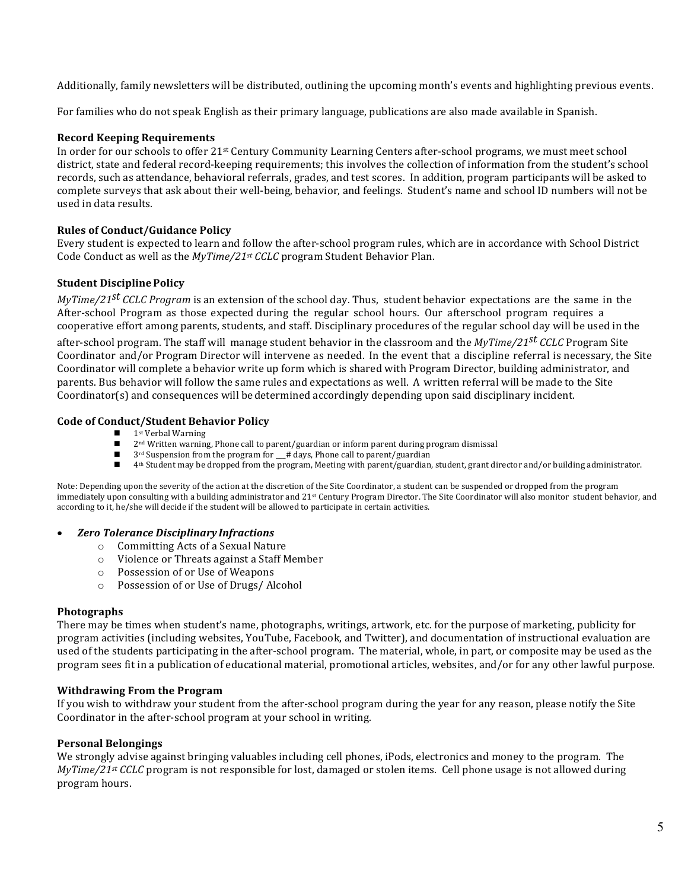Additionally, family newsletters will be distributed, outlining the upcoming month's events and highlighting previous events.

For families who do not speak English as their primary language, publications are also made available in Spanish.

# **Record Keeping Requirements**

In order for our schools to offer 21<sup>st</sup> Century Community Learning Centers after-school programs, we must meet school district, state and federal record-keeping requirements; this involves the collection of information from the student's school records, such as attendance, behavioral referrals, grades, and test scores. In addition, program participants will be asked to complete surveys that ask about their well-being, behavior, and feelings. Student's name and school ID numbers will not be used in data results.

#### **Rules of Conduct/Guidance Policy**

Every student is expected to learn and follow the after-school program rules, which are in accordance with School District Code Conduct as well as the *MyTime/21st CCLC* program Student Behavior Plan.

#### **Student Discipline Policy**

*MyTime/21<sup>st</sup> CCLC Program* is an extension of the school day. Thus, student behavior expectations are the same in the After-school Program as those expected during the regular school hours. Our afterschool program requires a cooperative effort among parents, students, and staff. Disciplinary procedures of the regular school day will be used in the

after-school program. The staff will manage student behavior in the classroom and the *MyTime/21<sup>st</sup> CCLC* Program Site Coordinator and/or Program Director will intervene as needed. In the event that a discipline referral is necessary, the Site Coordinator will complete a behavior write up form which is shared with Program Director, building administrator, and parents. Bus behavior will follow the same rules and expectations as well. A written referral will be made to the Site Coordinator(s) and consequences will be determined accordingly depending upon said disciplinary incident.

#### **Code of Conduct/Student Behavior Policy**

- $\blacksquare$  1st Verbal Warning
- 2<sup>nd</sup> Written warning, Phone call to parent/guardian or inform parent during program dismissal
- $3^{rd}$  Suspension from the program for  $_{\text{#}}$  days, Phone call to parent/guardian  $_{\text{#}}$  4th Student may be dronned from the program Meeting with parent/guardian
- 4<sup>th</sup> Student may be dropped from the program, Meeting with parent/guardian, student, grant director and/or building administrator.

Note: Depending upon the severity of the action at the discretion of the Site Coordinator, a student can be suspended or dropped from the program immediately upon consulting with a building administrator and 21<sup>st</sup> Century Program Director. The Site Coordinator will also monitor student behavior, and according to it, he/she will decide if the student will be allowed to participate in certain activities.

#### • *Zero Tolerance Disciplinary Infractions*

- $\circ$  Committing Acts of a Sexual Nature
- o Violence or Threats against a Staff Member
- $\circ$  Possession of or Use of Weapons
- o Possession of or Use of Drugs/ Alcohol

#### **Photographs**

There may be times when student's name, photographs, writings, artwork, etc. for the purpose of marketing, publicity for program activities (including websites, YouTube, Facebook, and Twitter), and documentation of instructional evaluation are used of the students participating in the after-school program. The material, whole, in part, or composite may be used as the program sees fit in a publication of educational material, promotional articles, websites, and/or for any other lawful purpose.

#### **Withdrawing From the Program**

If you wish to withdraw your student from the after-school program during the year for any reason, please notify the Site Coordinator in the after-school program at your school in writing.

#### **Personal Belongings**

We strongly advise against bringing valuables including cell phones, iPods, electronics and money to the program. The  $MyTime/21^{st}$  *CCLC* program is not responsible for lost, damaged or stolen items. Cell phone usage is not allowed during program hours.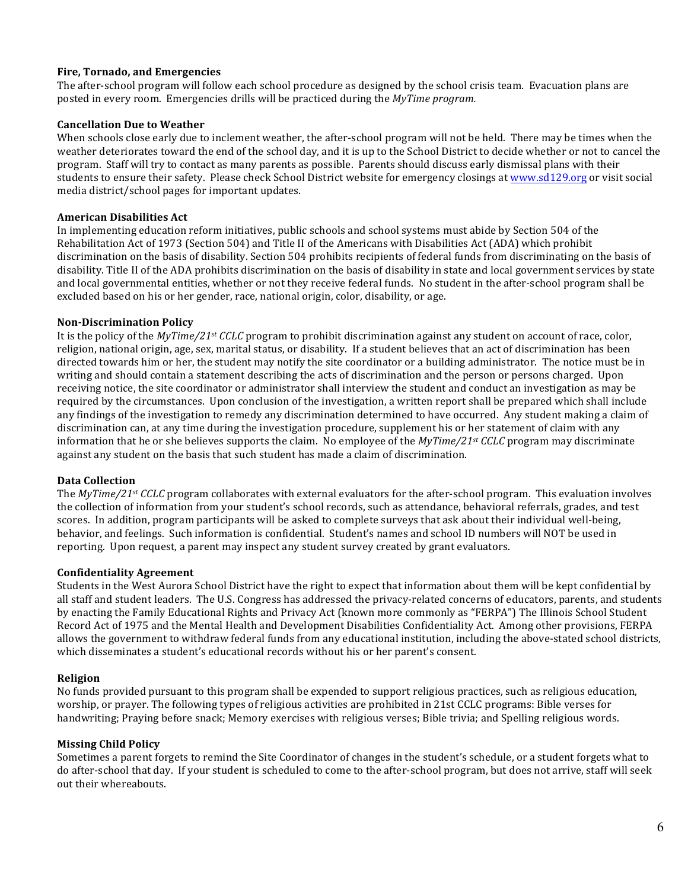# **Fire, Tornado, and Emergencies**

The after-school program will follow each school procedure as designed by the school crisis team. Evacuation plans are posted in every room. Emergencies drills will be practiced during the *MyTime program.* 

# **Cancellation Due to Weather**

When schools close early due to inclement weather, the after-school program will not be held. There may be times when the weather deteriorates toward the end of the school day, and it is up to the School District to decide whether or not to cancel the program. Staff will try to contact as many parents as possible. Parents should discuss early dismissal plans with their students to ensure their safety. Please check School District website for emergency closings at www.sd129.org or visit social media district/school pages for important updates.

# **American Disabilities Act**

In implementing education reform initiatives, public schools and school systems must abide by Section 504 of the Rehabilitation Act of 1973 (Section 504) and Title II of the Americans with Disabilities Act (ADA) which prohibit discrimination on the basis of disability. Section 504 prohibits recipients of federal funds from discriminating on the basis of disability. Title II of the ADA prohibits discrimination on the basis of disability in state and local government services by state and local governmental entities, whether or not they receive federal funds. No student in the after-school program shall be excluded based on his or her gender, race, national origin, color, disability, or age.

# **Non-Discrimination Policy**

It is the policy of the *MyTime/21st CCLC* program to prohibit discrimination against any student on account of race, color, religion, national origin, age, sex, marital status, or disability. If a student believes that an act of discrimination has been directed towards him or her, the student may notify the site coordinator or a building administrator. The notice must be in writing and should contain a statement describing the acts of discrimination and the person or persons charged. Upon receiving notice, the site coordinator or administrator shall interview the student and conduct an investigation as may be required by the circumstances. Upon conclusion of the investigation, a written report shall be prepared which shall include any findings of the investigation to remedy any discrimination determined to have occurred. Any student making a claim of discrimination can, at any time during the investigation procedure, supplement his or her statement of claim with any information that he or she believes supports the claim. No employee of the  $MyTime/21^{st}$  *CCLC* program may discriminate against any student on the basis that such student has made a claim of discrimination.

# **Data Collection**

The *MyTime/21st CCLC* program collaborates with external evaluators for the after-school program. This evaluation involves the collection of information from your student's school records, such as attendance, behavioral referrals, grades, and test scores. In addition, program participants will be asked to complete surveys that ask about their individual well-being, behavior, and feelings. Such information is confidential. Student's names and school ID numbers will NOT be used in reporting. Upon request, a parent may inspect any student survey created by grant evaluators.

# **Confidentiality Agreement**

Students in the West Aurora School District have the right to expect that information about them will be kept confidential by all staff and student leaders. The U.S. Congress has addressed the privacy-related concerns of educators, parents, and students by enacting the Family Educational Rights and Privacy Act (known more commonly as "FERPA") The Illinois School Student Record Act of 1975 and the Mental Health and Development Disabilities Confidentiality Act. Among other provisions, FERPA allows the government to withdraw federal funds from any educational institution, including the above-stated school districts, which disseminates a student's educational records without his or her parent's consent.

# **Religion**

No funds provided pursuant to this program shall be expended to support religious practices, such as religious education, worship, or prayer. The following types of religious activities are prohibited in 21st CCLC programs: Bible verses for handwriting; Praying before snack; Memory exercises with religious verses; Bible trivia; and Spelling religious words.

# **Missing Child Policy**

Sometimes a parent forgets to remind the Site Coordinator of changes in the student's schedule, or a student forgets what to do after-school that day. If your student is scheduled to come to the after-school program, but does not arrive, staff will seek out their whereabouts.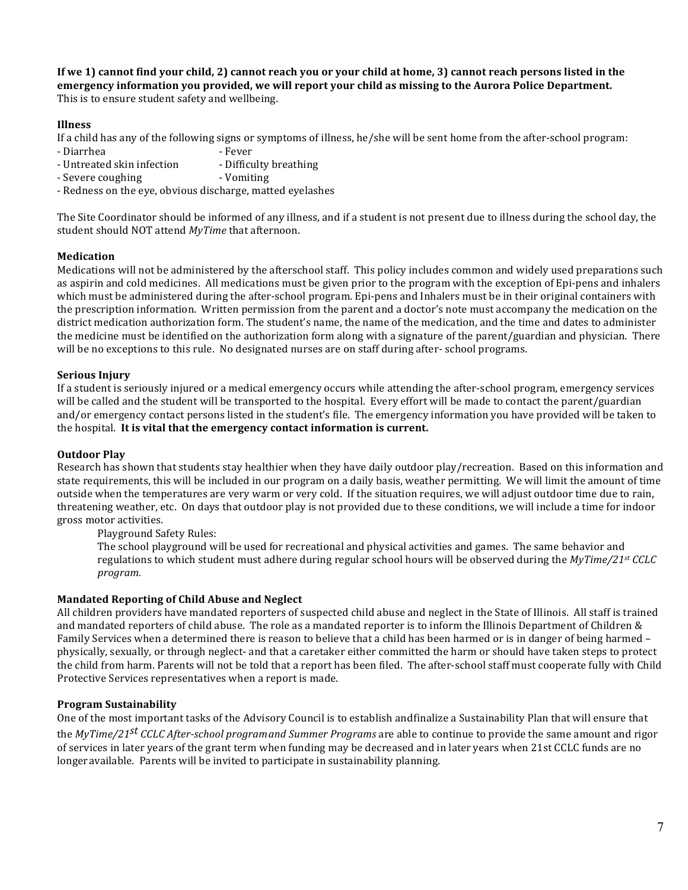**If** we 1) cannot find your child, 2) cannot reach you or your child at home, 3) cannot reach persons listed in the **emergency information you provided, we will report your child as missing to the Aurora Police Department.** This is to ensure student safety and wellbeing.

# **Illness**

If a child has any of the following signs or symptoms of illness,  $he/she$  will be sent home from the after-school program:

- Diarrhea Fever
- Untreated skin infection Difficulty breathing
- Severe coughing The Counting Severe Coughing
- Redness on the eye, obvious discharge, matted eyelashes

The Site Coordinator should be informed of any illness, and if a student is not present due to illness during the school day, the student should NOT attend *MyTime* that afternoon.

# **Medication**

Medications will not be administered by the afterschool staff. This policy includes common and widely used preparations such as aspirin and cold medicines. All medications must be given prior to the program with the exception of Epi-pens and inhalers which must be administered during the after-school program. Epi-pens and Inhalers must be in their original containers with the prescription information. Written permission from the parent and a doctor's note must accompany the medication on the district medication authorization form. The student's name, the name of the medication, and the time and dates to administer the medicine must be identified on the authorization form along with a signature of the parent/guardian and physician. There will be no exceptions to this rule. No designated nurses are on staff during after- school programs.

# **Serious Injury**

If a student is seriously injured or a medical emergency occurs while attending the after-school program, emergency services will be called and the student will be transported to the hospital. Every effort will be made to contact the parent/guardian and/or emergency contact persons listed in the student's file. The emergency information you have provided will be taken to the hospital. It is vital that the emergency contact information is current.

# **Outdoor Play**

Research has shown that students stay healthier when they have daily outdoor play/recreation. Based on this information and state requirements, this will be included in our program on a daily basis, weather permitting. We will limit the amount of time outside when the temperatures are very warm or very cold. If the situation requires, we will adjust outdoor time due to rain, threatening weather, etc. On days that outdoor play is not provided due to these conditions, we will include a time for indoor gross motor activities.

Playground Safety Rules:

The school playground will be used for recreational and physical activities and games. The same behavior and regulations to which student must adhere during regular school hours will be observed during the *MyTime/21st CCLC program.*

# **Mandated Reporting of Child Abuse and Neglect**

All children providers have mandated reporters of suspected child abuse and neglect in the State of Illinois. All staff is trained and mandated reporters of child abuse. The role as a mandated reporter is to inform the Illinois Department of Children  $&$ Family Services when a determined there is reason to believe that a child has been harmed or is in danger of being harmed – physically, sexually, or through neglect- and that a caretaker either committed the harm or should have taken steps to protect the child from harm. Parents will not be told that a report has been filed. The after-school staff must cooperate fully with Child Protective Services representatives when a report is made.

# **Program Sustainability**

One of the most important tasks of the Advisory Council is to establish andfinalize a Sustainability Plan that will ensure that

the *MyTime/21<sup>st</sup> CCLC After-school programand Summer Programs are able to continue to provide the same amount and rigor* of services in later years of the grant term when funding may be decreased and in later years when 21st CCLC funds are no longer available. Parents will be invited to participate in sustainability planning.